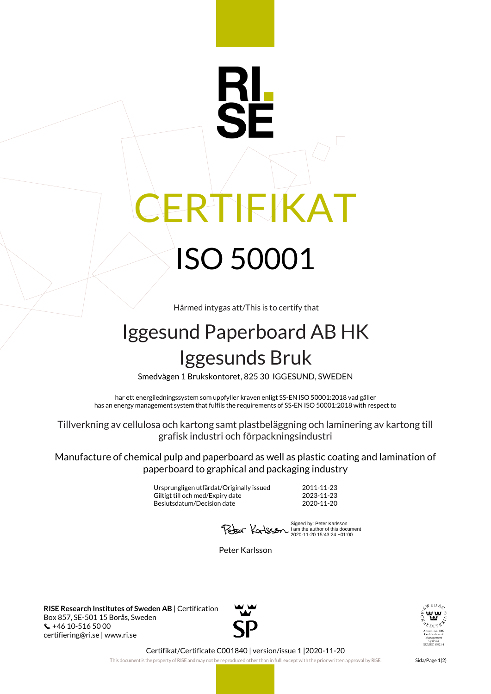## IEIKAT ISO 50001

Härmed intygas att/This is to certify that

## Iggesund Paperboard AB HK Iggesunds Bruk

Smedvägen 1 Brukskontoret, 825 30 IGGESUND, SWEDEN

har ett energiledningssystem som uppfyller kraven enligt SS-EN ISO 50001:2018 vad gäller has an energy management system that fulfils the requirements of SS-EN ISO 50001:2018 with respect to

Tillverkning av cellulosa och kartong samt plastbeläggning och laminering av kartong till grafisk industri och förpackningsindustri

Manufacture of chemical pulp and paperboard as well as plastic coating and lamination of paperboard to graphical and packaging industry

> Ursprungligen utfärdat/Originally issued 2011-11-23 Giltigt till och med/Expiry date 2023-11-23 Beslutsdatum/Decision date 2020-11-20

Signed by: Peter Karlsson I am the author of this document 2020-11-20 15:43:24 +01:00

Peter Karlsson

**RISE Research Institutes of Sweden AB** | Certification Box 857, SE-501 15 Borås, Sweden +46 10-516 50 00 certifiering@ri.se | www.ri.se





Certifikat/Certificate C001840 | version/issue 1 |2020-11-20

This document is the property of RISE and may not be reproduced other than in full, except with the prior written approval by RISE. Sida/Page 1(2)